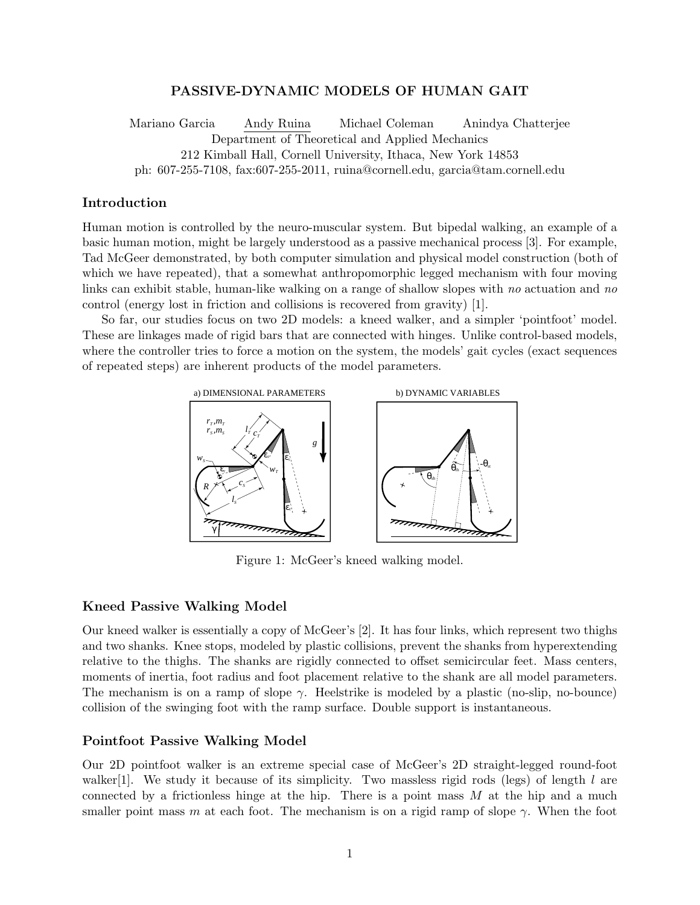# **PASSIVE-DYNAMIC MODELS OF HUMAN GAIT**

Mariano Garcia Andy Ruina Michael Coleman Anindya Chatterjee Department of Theoretical and Applied Mechanics 212 Kimball Hall, Cornell University, Ithaca, New York 14853 ph: 607-255-7108, fax:607-255-2011, ruina@cornell.edu, garcia@tam.cornell.edu

## **Introduction**

Human motion is controlled by the neuro-muscular system. But bipedal walking, an example of a basic human motion, might be largely understood as a passive mechanical process [3]. For example, Tad McGeer demonstrated, by both computer simulation and physical model construction (both of which we have repeated), that a somewhat anthropomorphic legged mechanism with four moving links can exhibit stable, human-like walking on a range of shallow slopes with no actuation and no control (energy lost in friction and collisions is recovered from gravity) [1].

So far, our studies focus on two 2D models: a kneed walker, and a simpler 'pointfoot' model. These are linkages made of rigid bars that are connected with hinges. Unlike control-based models, where the controller tries to force a motion on the system, the models' gait cycles (exact sequences of repeated steps) are inherent products of the model parameters.



Figure 1: McGeer's kneed walking model.

## **Kneed Passive Walking Model**

Our kneed walker is essentially a copy of McGeer's [2]. It has four links, which represent two thighs and two shanks. Knee stops, modeled by plastic collisions, prevent the shanks from hyperextending relative to the thighs. The shanks are rigidly connected to offset semicircular feet. Mass centers, moments of inertia, foot radius and foot placement relative to the shank are all model parameters. The mechanism is on a ramp of slope  $\gamma$ . Heelstrike is modeled by a plastic (no-slip, no-bounce) collision of the swinging foot with the ramp surface. Double support is instantaneous.

## **Pointfoot Passive Walking Model**

Our 2D pointfoot walker is an extreme special case of McGeer's 2D straight-legged round-foot walker<sup>[1]</sup>. We study it because of its simplicity. Two massless rigid rods (legs) of length *l* are connected by a frictionless hinge at the hip. There is a point mass *M* at the hip and a much smaller point mass *m* at each foot. The mechanism is on a rigid ramp of slope  $\gamma$ . When the foot